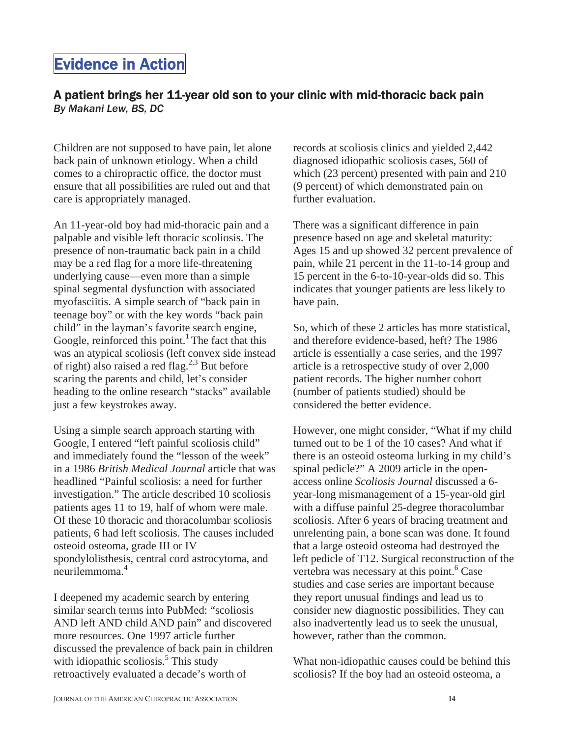## A patient brings her 11-year old son to your clinic with mid-thoracic back pain *By Makani Lew, BS, DC*

Children are not supposed to have pain, let alone back pain of unknown etiology. When a child comes to a chiropractic office, the doctor must ensure that all possibilities are ruled out and that care is appropriately managed.

An 11-year-old boy had mid-thoracic pain and a palpable and visible left thoracic scoliosis. The presence of non-traumatic back pain in a child may be a red flag for a more life-threatening underlying cause—even more than a simple spinal segmental dysfunction with associated myofasciitis. A simple search of "back pain in teenage boy" or with the key words "back pain child" in the layman's favorite search engine, Google, reinforced this point.<sup>1</sup> The fact that this was an atypical scoliosis (left convex side instead of right) also raised a red flag.<sup>2,3</sup> But before scaring the parents and child, let's consider heading to the online research "stacks" available just a few keystrokes away.

Using a simple search approach starting with Google, I entered "left painful scoliosis child" and immediately found the "lesson of the week" in a 1986 *British Medical Journal* article that was headlined "Painful scoliosis: a need for further investigation." The article described 10 scoliosis patients ages 11 to 19, half of whom were male. Of these 10 thoracic and thoracolumbar scoliosis patients, 6 had left scoliosis. The causes included osteoid osteoma, grade III or IV spondylolisthesis, central cord astrocytoma, and neurilemmoma.4

I deepened my academic search by entering similar search terms into PubMed: "scoliosis AND left AND child AND pain" and discovered more resources. One 1997 article further discussed the prevalence of back pain in children with idiopathic scoliosis.<sup>5</sup> This study retroactively evaluated a decade's worth of

records at scoliosis clinics and yielded 2,442 diagnosed idiopathic scoliosis cases, 560 of which (23 percent) presented with pain and 210 (9 percent) of which demonstrated pain on further evaluation.

There was a significant difference in pain presence based on age and skeletal maturity: Ages 15 and up showed 32 percent prevalence of pain, while 21 percent in the 11-to-14 group and 15 percent in the 6-to-10-year-olds did so. This indicates that younger patients are less likely to have pain.

So, which of these 2 articles has more statistical, and therefore evidence-based, heft? The 1986 article is essentially a case series, and the 1997 article is a retrospective study of over 2,000 patient records. The higher number cohort (number of patients studied) should be considered the better evidence.

However, one might consider, "What if my child turned out to be 1 of the 10 cases? And what if there is an osteoid osteoma lurking in my child's spinal pedicle?" A 2009 article in the openaccess online *Scoliosis Journal* discussed a 6 year-long mismanagement of a 15-year-old girl with a diffuse painful 25-degree thoracolumbar scoliosis. After 6 years of bracing treatment and unrelenting pain, a bone scan was done. It found that a large osteoid osteoma had destroyed the left pedicle of T12. Surgical reconstruction of the vertebra was necessary at this point.<sup>6</sup> Case studies and case series are important because they report unusual findings and lead us to consider new diagnostic possibilities. They can also inadvertently lead us to seek the unusual, however, rather than the common.

What non-idiopathic causes could be behind this scoliosis? If the boy had an osteoid osteoma, a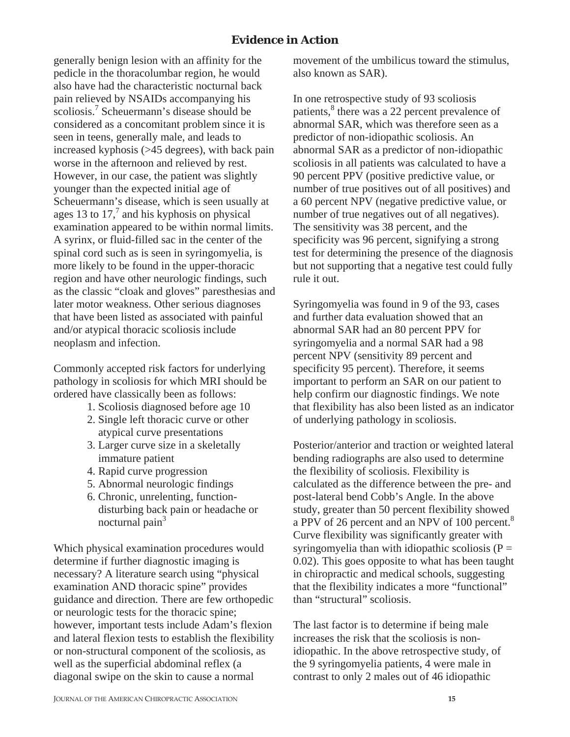generally benign lesion with an affinity for the pedicle in the thoracolumbar region, he would also have had the characteristic nocturnal back pain relieved by NSAIDs accompanying his scoliosis.<sup>7</sup> Scheuermann's disease should be considered as a concomitant problem since it is seen in teens, generally male, and leads to increased kyphosis (>45 degrees), with back pain worse in the afternoon and relieved by rest. However, in our case, the patient was slightly younger than the expected initial age of Scheuermann's disease, which is seen usually at ages 13 to 17, $\frac{7}{3}$  and his kyphosis on physical examination appeared to be within normal limits. A syrinx, or fluid-filled sac in the center of the spinal cord such as is seen in syringomyelia, is more likely to be found in the upper-thoracic region and have other neurologic findings, such as the classic "cloak and gloves" paresthesias and later motor weakness. Other serious diagnoses that have been listed as associated with painful and/or atypical thoracic scoliosis include neoplasm and infection.

Commonly accepted risk factors for underlying pathology in scoliosis for which MRI should be ordered have classically been as follows:

- 1. Scoliosis diagnosed before age 10
- 2. Single left thoracic curve or other atypical curve presentations
- 3. Larger curve size in a skeletally immature patient
- 4. Rapid curve progression
- 5. Abnormal neurologic findings
- 6. Chronic, unrelenting, function disturbing back pain or headache or nocturnal pain $3$

Which physical examination procedures would determine if further diagnostic imaging is necessary? A literature search using "physical examination AND thoracic spine" provides guidance and direction. There are few orthopedic or neurologic tests for the thoracic spine; however, important tests include Adam's flexion and lateral flexion tests to establish the flexibility or non-structural component of the scoliosis, as well as the superficial abdominal reflex (a diagonal swipe on the skin to cause a normal

movement of the umbilicus toward the stimulus, also known as SAR).

In one retrospective study of 93 scoliosis patients,<sup>8</sup> there was a 22 percent prevalence of abnormal SAR, which was therefore seen as a predictor of non-idiopathic scoliosis. An abnormal SAR as a predictor of non-idiopathic scoliosis in all patients was calculated to have a 90 percent PPV (positive predictive value, or number of true positives out of all positives) and a 60 percent NPV (negative predictive value, or number of true negatives out of all negatives). The sensitivity was 38 percent, and the specificity was 96 percent, signifying a strong test for determining the presence of the diagnosis but not supporting that a negative test could fully rule it out.

Syringomyelia was found in 9 of the 93, cases and further data evaluation showed that an abnormal SAR had an 80 percent PPV for syringomyelia and a normal SAR had a 98 percent NPV (sensitivity 89 percent and specificity 95 percent). Therefore, it seems important to perform an SAR on our patient to help confirm our diagnostic findings. We note that flexibility has also been listed as an indicator of underlying pathology in scoliosis.

Posterior/anterior and traction or weighted lateral bending radiographs are also used to determine the flexibility of scoliosis. Flexibility is calculated as the difference between the pre- and post-lateral bend Cobb's Angle. In the above study, greater than 50 percent flexibility showed a PPV of 26 percent and an NPV of 100 percent.<sup>8</sup> Curve flexibility was significantly greater with syringomyelia than with idiopathic scoliosis ( $P =$ 0.02). This goes opposite to what has been taught in chiropractic and medical schools, suggesting that the flexibility indicates a more "functional" than "structural" scoliosis.

The last factor is to determine if being male increases the risk that the scoliosis is nonidiopathic. In the above retrospective study, of the 9 syringomyelia patients, 4 were male in contrast to only 2 males out of 46 idiopathic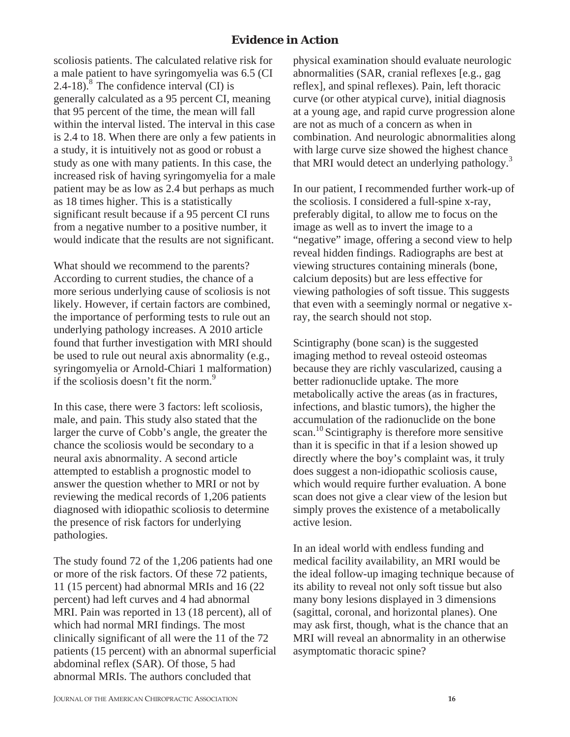scoliosis patients. The calculated relative risk for a male patient to have syringomyelia was 6.5 (CI 2.4-18). $8$  The confidence interval (CI) is generally calculated as a 95 percent CI, meaning that 95 percent of the time, the mean will fall within the interval listed. The interval in this case is 2.4 to 18. When there are only a few patients in a study, it is intuitively not as good or robust a study as one with many patients. In this case, the increased risk of having syringomyelia for a male patient may be as low as 2.4 but perhaps as much as 18 times higher. This is a statistically significant result because if a 95 percent CI runs from a negative number to a positive number, it would indicate that the results are not significant.

What should we recommend to the parents? According to current studies, the chance of a more serious underlying cause of scoliosis is not likely. However, if certain factors are combined, the importance of performing tests to rule out an underlying pathology increases. A 2010 article found that further investigation with MRI should be used to rule out neural axis abnormality (e.g., syringomyelia or Arnold-Chiari 1 malformation) if the scoliosis doesn't fit the norm.<sup>9</sup>

In this case, there were 3 factors: left scoliosis, male, and pain. This study also stated that the larger the curve of Cobb's angle, the greater the chance the scoliosis would be secondary to a neural axis abnormality. A second article attempted to establish a prognostic model to answer the question whether to MRI or not by reviewing the medical records of 1,206 patients diagnosed with idiopathic scoliosis to determine the presence of risk factors for underlying pathologies.

The study found 72 of the 1,206 patients had one or more of the risk factors. Of these 72 patients, 11 (15 percent) had abnormal MRIs and 16 (22 percent) had left curves and 4 had abnormal MRI. Pain was reported in 13 (18 percent), all of which had normal MRI findings. The most clinically significant of all were the 11 of the 72 patients (15 percent) with an abnormal superficial abdominal reflex (SAR). Of those, 5 had abnormal MRIs. The authors concluded that

physical examination should evaluate neurologic abnormalities (SAR, cranial reflexes [e.g., gag reflex], and spinal reflexes). Pain, left thoracic curve (or other atypical curve), initial diagnosis at a young age, and rapid curve progression alone are not as much of a concern as when in combination. And neurologic abnormalities along with large curve size showed the highest chance that MRI would detect an underlying pathology.<sup>3</sup>

In our patient, I recommended further work-up of the scoliosis. I considered a full-spine x-ray, preferably digital, to allow me to focus on the image as well as to invert the image to a "negative" image, offering a second view to help reveal hidden findings. Radiographs are best at viewing structures containing minerals (bone, calcium deposits) but are less effective for viewing pathologies of soft tissue. This suggests that even with a seemingly normal or negative xray, the search should not stop.

Scintigraphy (bone scan) is the suggested imaging method to reveal osteoid osteomas because they are richly vascularized, causing a better radionuclide uptake. The more metabolically active the areas (as in fractures, infections, and blastic tumors), the higher the accumulation of the radionuclide on the bone scan.<sup>10</sup> Scintigraphy is therefore more sensitive than it is specific in that if a lesion showed up directly where the boy's complaint was, it truly does suggest a non-idiopathic scoliosis cause, which would require further evaluation. A bone scan does not give a clear view of the lesion but simply proves the existence of a metabolically active lesion.

In an ideal world with endless funding and medical facility availability, an MRI would be the ideal follow-up imaging technique because of its ability to reveal not only soft tissue but also many bony lesions displayed in 3 dimensions (sagittal, coronal, and horizontal planes). One may ask first, though, what is the chance that an MRI will reveal an abnormality in an otherwise asymptomatic thoracic spine?